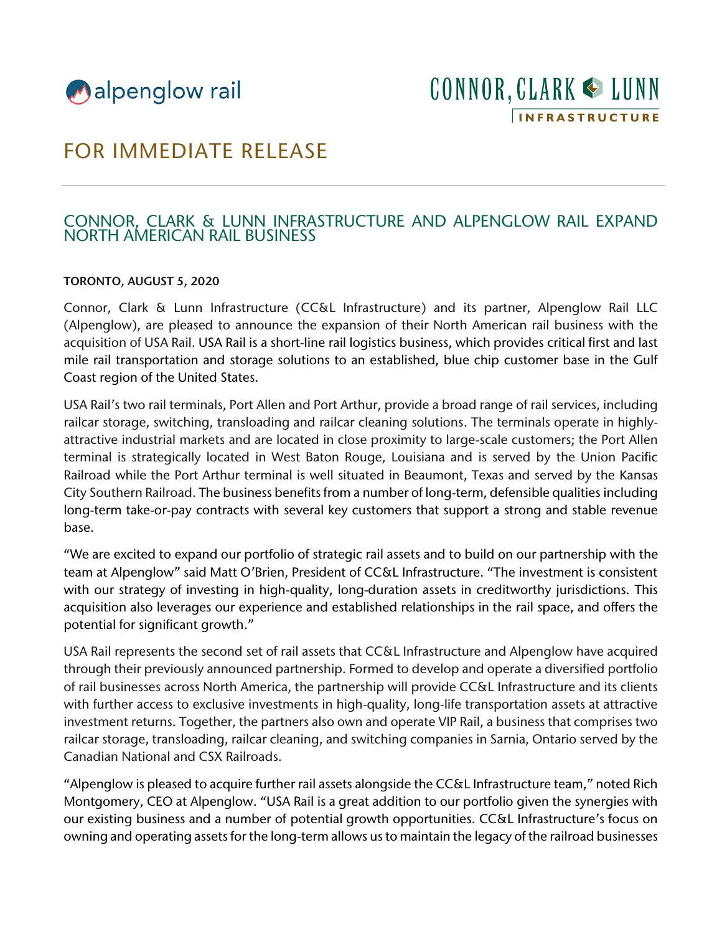

# FOR IMMEDIATE RELEASE

## CONNOR, CLARK & LUNN INFRASTRUCTURE AND ALPENGLOW RAIL EXPAND NORTH AMERICAN RAIL BUSINESS

#### TORONTO, AUGUST 5, 2020

Connor, Clark & Lunn Infrastructure (CC&L Infrastructure) and its partner, Alpenglow Rail LLC (Alpenglow), are pleased to announce the expansion of their North American rail business with the acquisition of USA Rail. USA Rail is a short-line rail logistics business, which provides critical first and last mile rail transportation and storage solutions to an established, blue chip customer base in the Gulf Coast region of the United States.

USA Rail's two rail terminals, Port Allen and Port Arthur, provide a broad range of rail services, including railcar storage, switching, transloading and railcar cleaning solutions. The terminals operate in highlyattractive industrial markets and are located in close proximity to large-scale customers; the Port Allen terminal is strategically located in West Baton Rouge, Louisiana and is served by the Union Pacific Railroad while the Port Arthur terminal is well situated in Beaumont, Texas and served by the Kansas City Southern Railroad. The business benefits from a number of long-term, defensible qualities including long-term take-or-pay contracts with several key customers that support a strong and stable revenue base.

"We are excited to expand our portfolio of strategic rail assets and to build on our partnership with the team at Alpenglow" said Matt O'Brien, President of CC&L Infrastructure. "The investment is consistent with our strategy of investing in high-quality, long-duration assets in creditworthy jurisdictions. This acquisition also leverages our experience and established relationships in the rail space, and offers the potential for significant growth."

USA Rail represents the second set of rail assets that CC&L Infrastructure and Alpenglow have acquired through their previously announced partnership. Formed to develop and operate a diversified portfolio of rail businesses across North America, the partnership will provide CC&L Infrastructure and its clients with further access to exclusive investments in high-quality, long-life transportation assets at attractive investment returns. Together, the partners also own and operate VIP Rail, a business that comprises two railcar storage, transloading, railcar cleaning, and switching companies in Sarnia, Ontario served by the Canadian National and CSX Railroads.

"Alpenglow is pleased to acquire further rail assets alongside the CC&L Infrastructure team," noted Rich Montgomery, CEO at Alpenglow. "USA Rail is a great addition to our portfolio given the synergies with our existing business and a number of potential growth opportunities. CC&L Infrastructure's focus on owning and operating assets for the long-term allows us to maintain the legacy of the railroad businesses